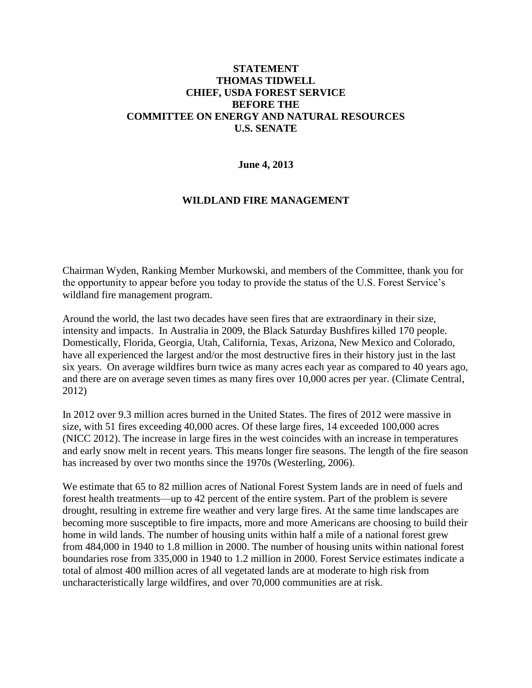## **STATEMENT THOMAS TIDWELL CHIEF, USDA FOREST SERVICE BEFORE THE COMMITTEE ON ENERGY AND NATURAL RESOURCES U.S. SENATE**

#### **June 4, 2013**

#### **WILDLAND FIRE MANAGEMENT**

Chairman Wyden, Ranking Member Murkowski, and members of the Committee, thank you for the opportunity to appear before you today to provide the status of the U.S. Forest Service's wildland fire management program.

Around the world, the last two decades have seen fires that are extraordinary in their size, intensity and impacts. In Australia in 2009, the Black Saturday Bushfires killed 170 people. Domestically, Florida, Georgia, Utah, California, Texas, Arizona, New Mexico and Colorado, have all experienced the largest and/or the most destructive fires in their history just in the last six years. On average wildfires burn twice as many acres each year as compared to 40 years ago, and there are on average seven times as many fires over 10,000 acres per year. (Climate Central, 2012)

In 2012 over 9.3 million acres burned in the United States. The fires of 2012 were massive in size, with 51 fires exceeding 40,000 acres. Of these large fires, 14 exceeded 100,000 acres (NICC 2012). The increase in large fires in the west coincides with an increase in temperatures and early snow melt in recent years. This means longer fire seasons. The length of the fire season has increased by over two months since the 1970s (Westerling, 2006).

We estimate that 65 to 82 million acres of National Forest System lands are in need of fuels and forest health treatments—up to 42 percent of the entire system. Part of the problem is severe drought, resulting in extreme fire weather and very large fires. At the same time landscapes are becoming more susceptible to fire impacts, more and more Americans are choosing to build their home in wild lands. The number of housing units within half a mile of a national forest grew from 484,000 in 1940 to 1.8 million in 2000. The number of housing units within national forest boundaries rose from 335,000 in 1940 to 1.2 million in 2000. Forest Service estimates indicate a total of almost 400 million acres of all vegetated lands are at moderate to high risk from uncharacteristically large wildfires, and over 70,000 communities are at risk.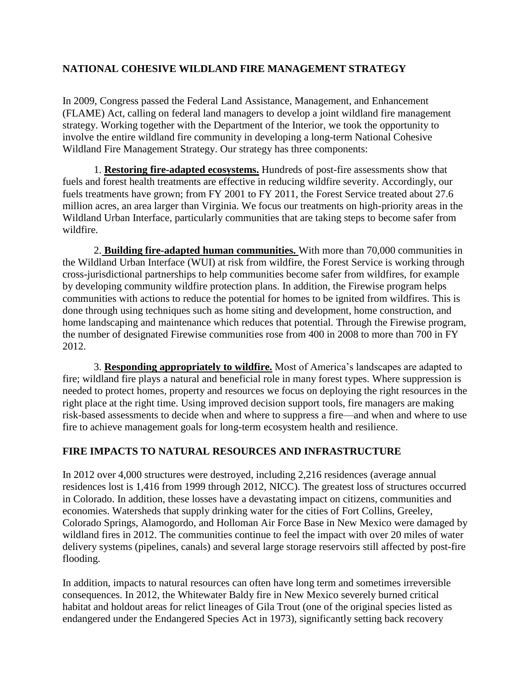# **NATIONAL COHESIVE WILDLAND FIRE MANAGEMENT STRATEGY**

In 2009, Congress passed the Federal Land Assistance, Management, and Enhancement (FLAME) Act, calling on federal land managers to develop a joint wildland fire management strategy. Working together with the Department of the Interior, we took the opportunity to involve the entire wildland fire community in developing a long-term National Cohesive Wildland Fire Management Strategy. Our strategy has three components:

1. **Restoring fire-adapted ecosystems.** Hundreds of post-fire assessments show that fuels and forest health treatments are effective in reducing wildfire severity. Accordingly, our fuels treatments have grown; from FY 2001 to FY 2011, the Forest Service treated about 27.6 million acres, an area larger than Virginia. We focus our treatments on high-priority areas in the Wildland Urban Interface, particularly communities that are taking steps to become safer from wildfire.

2. **Building fire-adapted human communities.** With more than 70,000 communities in the Wildland Urban Interface (WUI) at risk from wildfire, the Forest Service is working through cross-jurisdictional partnerships to help communities become safer from wildfires, for example by developing community wildfire protection plans. In addition, the Firewise program helps communities with actions to reduce the potential for homes to be ignited from wildfires. This is done through using techniques such as home siting and development, home construction, and home landscaping and maintenance which reduces that potential. Through the Firewise program, the number of designated Firewise communities rose from 400 in 2008 to more than 700 in FY 2012.

3. **Responding appropriately to wildfire.** Most of America's landscapes are adapted to fire; wildland fire plays a natural and beneficial role in many forest types. Where suppression is needed to protect homes, property and resources we focus on deploying the right resources in the right place at the right time. Using improved decision support tools, fire managers are making risk-based assessments to decide when and where to suppress a fire—and when and where to use fire to achieve management goals for long-term ecosystem health and resilience.

## **FIRE IMPACTS TO NATURAL RESOURCES AND INFRASTRUCTURE**

In 2012 over 4,000 structures were destroyed, including 2,216 residences (average annual residences lost is 1,416 from 1999 through 2012, NICC). The greatest loss of structures occurred in Colorado. In addition, these losses have a devastating impact on citizens, communities and economies. Watersheds that supply drinking water for the cities of Fort Collins, Greeley, Colorado Springs, Alamogordo, and Holloman Air Force Base in New Mexico were damaged by wildland fires in 2012. The communities continue to feel the impact with over 20 miles of water delivery systems (pipelines, canals) and several large storage reservoirs still affected by post-fire flooding.

In addition, impacts to natural resources can often have long term and sometimes irreversible consequences. In 2012, the Whitewater Baldy fire in New Mexico severely burned critical habitat and holdout areas for relict lineages of Gila Trout (one of the original species listed as endangered under the Endangered Species Act in 1973), significantly setting back recovery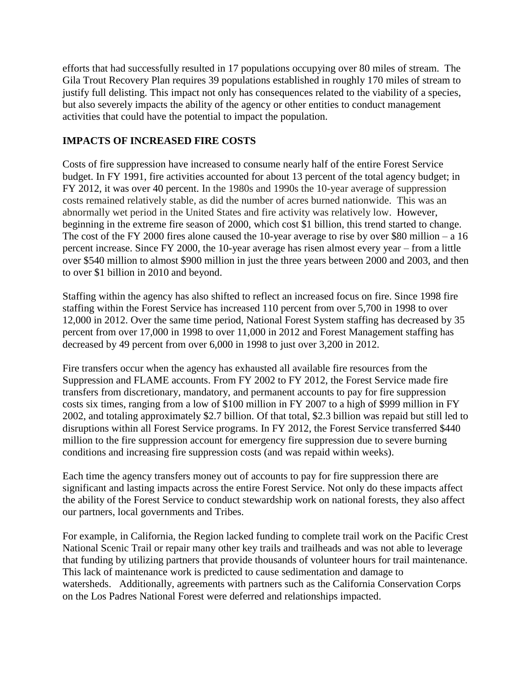efforts that had successfully resulted in 17 populations occupying over 80 miles of stream. The Gila Trout Recovery Plan requires 39 populations established in roughly 170 miles of stream to justify full delisting. This impact not only has consequences related to the viability of a species, but also severely impacts the ability of the agency or other entities to conduct management activities that could have the potential to impact the population.

# **IMPACTS OF INCREASED FIRE COSTS**

Costs of fire suppression have increased to consume nearly half of the entire Forest Service budget. In FY 1991, fire activities accounted for about 13 percent of the total agency budget; in FY 2012, it was over 40 percent. In the 1980s and 1990s the 10-year average of suppression costs remained relatively stable, as did the number of acres burned nationwide. This was an abnormally wet period in the United States and fire activity was relatively low. However, beginning in the extreme fire season of 2000, which cost \$1 billion, this trend started to change. The cost of the FY 2000 fires alone caused the 10-year average to rise by over \$80 million – a 16 percent increase. Since FY 2000, the 10-year average has risen almost every year – from a little over \$540 million to almost \$900 million in just the three years between 2000 and 2003, and then to over \$1 billion in 2010 and beyond.

Staffing within the agency has also shifted to reflect an increased focus on fire. Since 1998 fire staffing within the Forest Service has increased 110 percent from over 5,700 in 1998 to over 12,000 in 2012. Over the same time period, National Forest System staffing has decreased by 35 percent from over 17,000 in 1998 to over 11,000 in 2012 and Forest Management staffing has decreased by 49 percent from over 6,000 in 1998 to just over 3,200 in 2012.

Fire transfers occur when the agency has exhausted all available fire resources from the Suppression and FLAME accounts. From FY 2002 to FY 2012, the Forest Service made fire transfers from discretionary, mandatory, and permanent accounts to pay for fire suppression costs six times, ranging from a low of \$100 million in FY 2007 to a high of \$999 million in FY 2002, and totaling approximately \$2.7 billion. Of that total, \$2.3 billion was repaid but still led to disruptions within all Forest Service programs. In FY 2012, the Forest Service transferred \$440 million to the fire suppression account for emergency fire suppression due to severe burning conditions and increasing fire suppression costs (and was repaid within weeks).

Each time the agency transfers money out of accounts to pay for fire suppression there are significant and lasting impacts across the entire Forest Service. Not only do these impacts affect the ability of the Forest Service to conduct stewardship work on national forests, they also affect our partners, local governments and Tribes.

For example, in California, the Region lacked funding to complete trail work on the Pacific Crest National Scenic Trail or repair many other key trails and trailheads and was not able to leverage that funding by utilizing partners that provide thousands of volunteer hours for trail maintenance. This lack of maintenance work is predicted to cause sedimentation and damage to watersheds. Additionally, agreements with partners such as the California Conservation Corps on the Los Padres National Forest were deferred and relationships impacted.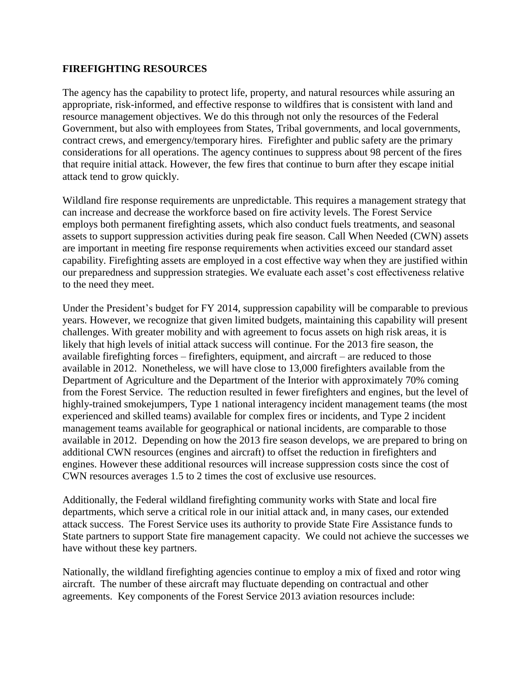## **FIREFIGHTING RESOURCES**

The agency has the capability to protect life, property, and natural resources while assuring an appropriate, risk-informed, and effective response to wildfires that is consistent with land and resource management objectives. We do this through not only the resources of the Federal Government, but also with employees from States, Tribal governments, and local governments, contract crews, and emergency/temporary hires. Firefighter and public safety are the primary considerations for all operations. The agency continues to suppress about 98 percent of the fires that require initial attack. However, the few fires that continue to burn after they escape initial attack tend to grow quickly.

Wildland fire response requirements are unpredictable. This requires a management strategy that can increase and decrease the workforce based on fire activity levels. The Forest Service employs both permanent firefighting assets, which also conduct fuels treatments, and seasonal assets to support suppression activities during peak fire season. Call When Needed (CWN) assets are important in meeting fire response requirements when activities exceed our standard asset capability. Firefighting assets are employed in a cost effective way when they are justified within our preparedness and suppression strategies. We evaluate each asset's cost effectiveness relative to the need they meet.

Under the President's budget for FY 2014, suppression capability will be comparable to previous years. However, we recognize that given limited budgets, maintaining this capability will present challenges. With greater mobility and with agreement to focus assets on high risk areas, it is likely that high levels of initial attack success will continue. For the 2013 fire season, the available firefighting forces – firefighters, equipment, and aircraft – are reduced to those available in 2012. Nonetheless, we will have close to 13,000 firefighters available from the Department of Agriculture and the Department of the Interior with approximately 70% coming from the Forest Service. The reduction resulted in fewer firefighters and engines, but the level of highly-trained smokejumpers, Type 1 national interagency incident management teams (the most experienced and skilled teams) available for complex fires or incidents, and Type 2 incident management teams available for geographical or national incidents, are comparable to those available in 2012. Depending on how the 2013 fire season develops, we are prepared to bring on additional CWN resources (engines and aircraft) to offset the reduction in firefighters and engines. However these additional resources will increase suppression costs since the cost of CWN resources averages 1.5 to 2 times the cost of exclusive use resources.

Additionally, the Federal wildland firefighting community works with State and local fire departments, which serve a critical role in our initial attack and, in many cases, our extended attack success. The Forest Service uses its authority to provide State Fire Assistance funds to State partners to support State fire management capacity. We could not achieve the successes we have without these key partners.

Nationally, the wildland firefighting agencies continue to employ a mix of fixed and rotor wing aircraft. The number of these aircraft may fluctuate depending on contractual and other agreements. Key components of the Forest Service 2013 aviation resources include: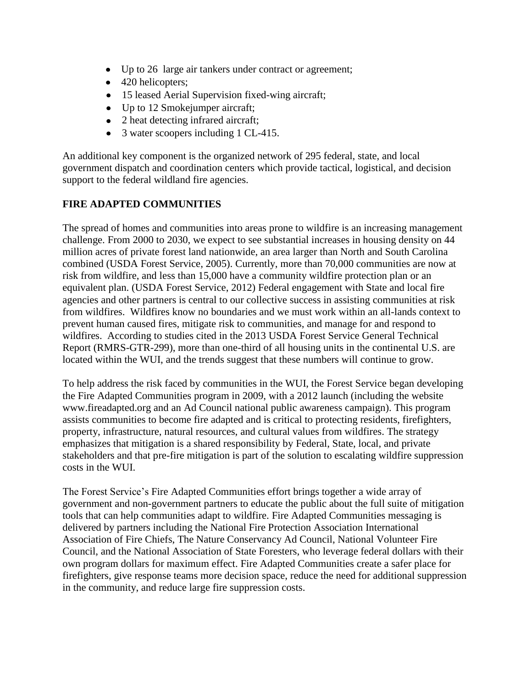- Up to 26 large air tankers under contract or agreement;
- 420 helicopters;
- 15 leased Aerial Supervision fixed-wing aircraft;
- Up to 12 Smoke jumper aircraft;
- 2 heat detecting infrared aircraft;
- 3 water scoopers including 1 CL-415.

An additional key component is the organized network of 295 federal, state, and local government dispatch and coordination centers which provide tactical, logistical, and decision support to the federal wildland fire agencies.

## **FIRE ADAPTED COMMUNITIES**

The spread of homes and communities into areas prone to wildfire is an increasing management challenge. From 2000 to 2030, we expect to see substantial increases in housing density on 44 million acres of private forest land nationwide, an area larger than North and South Carolina combined (USDA Forest Service, 2005). Currently, more than 70,000 communities are now at risk from wildfire, and less than 15,000 have a community wildfire protection plan or an equivalent plan. (USDA Forest Service, 2012) Federal engagement with State and local fire agencies and other partners is central to our collective success in assisting communities at risk from wildfires. Wildfires know no boundaries and we must work within an all-lands context to prevent human caused fires, mitigate risk to communities, and manage for and respond to wildfires. According to studies cited in the 2013 USDA Forest Service General Technical Report (RMRS-GTR-299), more than one-third of all housing units in the continental U.S. are located within the WUI, and the trends suggest that these numbers will continue to grow.

To help address the risk faced by communities in the WUI, the Forest Service began developing the Fire Adapted Communities program in 2009, with a 2012 launch (including the website www.fireadapted.org and an Ad Council national public awareness campaign). This program assists communities to become fire adapted and is critical to protecting residents, firefighters, property, infrastructure, natural resources, and cultural values from wildfires. The strategy emphasizes that mitigation is a shared responsibility by Federal, State, local, and private stakeholders and that pre-fire mitigation is part of the solution to escalating wildfire suppression costs in the WUI.

The Forest Service's Fire Adapted Communities effort brings together a wide array of government and non-government partners to educate the public about the full suite of mitigation tools that can help communities adapt to wildfire. Fire Adapted Communities messaging is delivered by partners including the National Fire Protection Association International Association of Fire Chiefs, The Nature Conservancy Ad Council, National Volunteer Fire Council, and the National Association of State Foresters, who leverage federal dollars with their own program dollars for maximum effect. Fire Adapted Communities create a safer place for firefighters, give response teams more decision space, reduce the need for additional suppression in the community, and reduce large fire suppression costs.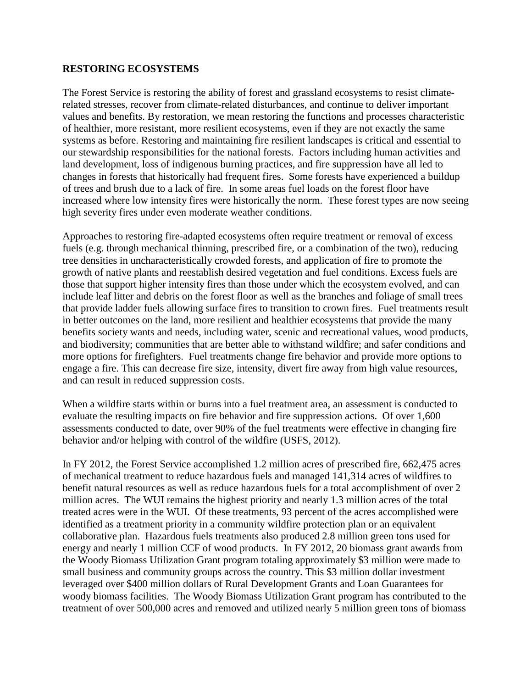### **RESTORING ECOSYSTEMS**

The Forest Service is restoring the ability of forest and grassland ecosystems to resist climaterelated stresses, recover from climate-related disturbances, and continue to deliver important values and benefits. By restoration, we mean restoring the functions and processes characteristic of healthier, more resistant, more resilient ecosystems, even if they are not exactly the same systems as before. Restoring and maintaining fire resilient landscapes is critical and essential to our stewardship responsibilities for the national forests. Factors including human activities and land development, loss of indigenous burning practices, and fire suppression have all led to changes in forests that historically had frequent fires. Some forests have experienced a buildup of trees and brush due to a lack of fire. In some areas fuel loads on the forest floor have increased where low intensity fires were historically the norm. These forest types are now seeing high severity fires under even moderate weather conditions.

Approaches to restoring fire-adapted ecosystems often require treatment or removal of excess fuels (e.g. through mechanical thinning, prescribed fire, or a combination of the two), reducing tree densities in uncharacteristically crowded forests, and application of fire to promote the growth of native plants and reestablish desired vegetation and fuel conditions. Excess fuels are those that support higher intensity fires than those under which the ecosystem evolved, and can include leaf litter and debris on the forest floor as well as the branches and foliage of small trees that provide ladder fuels allowing surface fires to transition to crown fires. Fuel treatments result in better outcomes on the land, more resilient and healthier ecosystems that provide the many benefits society wants and needs, including water, scenic and recreational values, wood products, and biodiversity; communities that are better able to withstand wildfire; and safer conditions and more options for firefighters. Fuel treatments change fire behavior and provide more options to engage a fire. This can decrease fire size, intensity, divert fire away from high value resources, and can result in reduced suppression costs.

When a wildfire starts within or burns into a fuel treatment area, an assessment is conducted to evaluate the resulting impacts on fire behavior and fire suppression actions. Of over 1,600 assessments conducted to date, over 90% of the fuel treatments were effective in changing fire behavior and/or helping with control of the wildfire (USFS, 2012).

In FY 2012, the Forest Service accomplished 1.2 million acres of prescribed fire, 662,475 acres of mechanical treatment to reduce hazardous fuels and managed 141,314 acres of wildfires to benefit natural resources as well as reduce hazardous fuels for a total accomplishment of over 2 million acres. The WUI remains the highest priority and nearly 1.3 million acres of the total treated acres were in the WUI. Of these treatments, 93 percent of the acres accomplished were identified as a treatment priority in a community wildfire protection plan or an equivalent collaborative plan. Hazardous fuels treatments also produced 2.8 million green tons used for energy and nearly 1 million CCF of wood products. In FY 2012, 20 biomass grant awards from the Woody Biomass Utilization Grant program totaling approximately \$3 million were made to small business and community groups across the country. This \$3 million dollar investment leveraged over \$400 million dollars of Rural Development Grants and Loan Guarantees for woody biomass facilities. The Woody Biomass Utilization Grant program has contributed to the treatment of over 500,000 acres and removed and utilized nearly 5 million green tons of biomass